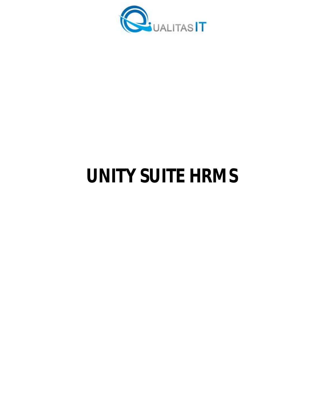

# **UNITY SUITE HRMS**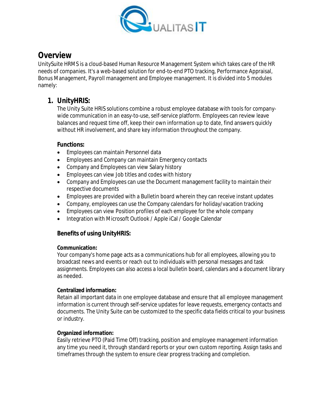

# **Overview**

UnitySuite HRMS is a cloud-based Human Resource Management System which takes care of the HR needs of companies. It's a web-based solution for end-to-end PTO tracking, Performance Appraisal, Bonus Management, Payroll management and Employee management. It is divided into 5 modules namely:

# **1. UnityHRIS:**

The Unity Suite HRIS solutions combine a robust employee database with tools for companywide communication in an easy-to-use, self-service platform. Employees can review leave balances and request time off, keep their own information up to date, find answers quickly without HR involvement, and share key information throughout the company.

# **Functions:**

- Employees can maintain Personnel data
- Employees and Company can maintain Emergency contacts
- Company and Employees can view Salary history
- **Employees can view Job titles and codes with history**
- Company and Employees can use the Document management facility to maintain their respective documents
- Employees are provided with a Bulletin board wherein they can receive instant updates
- Company, employees can use the Company calendars for holiday/vacation tracking
- Employees can view Position profiles of each employee for the whole company
- Integration with Microsoft Outlook / Apple iCal / Google Calendar

# **Benefits of using UnityHRIS:**

#### **Communication:**

Your company's home page acts as a communications hub for all employees, allowing you to broadcast news and events or reach out to individuals with personal messages and task assignments. Employees can also access a local bulletin board, calendars and a document library as needed.

#### **Centralized information:**

Retain all important data in one employee database and ensure that all employee management information is current through self-service updates for leave requests, emergency contacts and documents. The Unity Suite can be customized to the specific data fields critical to your business or industry.

#### **Organized information:**

Easily retrieve PTO (Paid Time Off) tracking, position and employee management information any time you need it, through standard reports or your own custom reporting. Assign tasks and timeframes through the system to ensure clear progress tracking and completion.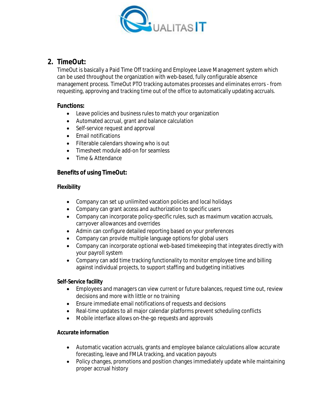

# **2. TimeOut:**

TimeOut is basically a Paid Time Off tracking and Employee Leave Management system which can be used throughout the organization with web-based, fully configurable absence management process. TimeOut PTO tracking automates processes and eliminates errors - from requesting, approving and tracking time out of the office to automatically updating accruals.

## **Functions:**

- Leave policies and business rules to match your organization
- Automated accrual, grant and balance calculation
- Self-service request and approval
- Fmail notifications
- Filterable calendars showing who is out
- Timesheet module add-on for seamless
- Time & Attendance

# **Benefits of using TimeOut:**

## **Flexibility**

- Company can set up unlimited vacation policies and local holidays
- Company can grant access and authorization to specific users
- Company can incorporate policy-specific rules, such as maximum vacation accruals, carryover allowances and overrides
- Admin can configure detailed reporting based on your preferences
- Company can provide multiple language options for global users
- Company can incorporate optional web-based timekeeping that integrates directly with your payroll system
- Company can add time tracking functionality to monitor employee time and billing against individual projects, to support staffing and budgeting initiatives

#### **Self-Service facility**

- Employees and managers can view current or future balances, request time out, review decisions and more with little or no training
- Ensure immediate email notifications of requests and decisions
- Real-time updates to all major calendar platforms prevent scheduling conflicts
- Mobile interface allows on-the-go requests and approvals

#### **Accurate information**

- Automatic vacation accruals, grants and employee balance calculations allow accurate forecasting, leave and FMLA tracking, and vacation payouts
- Policy changes, promotions and position changes immediately update while maintaining proper accrual history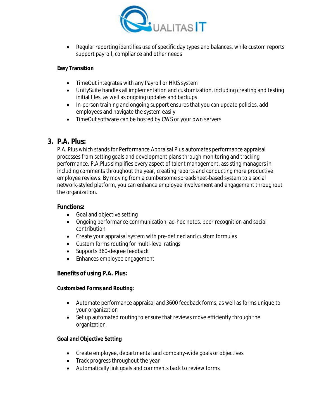

• Regular reporting identifies use of specific day types and balances, while custom reports support payroll, compliance and other needs

#### **Easy Transition**

- TimeOut integrates with any Payroll or HRIS system
- UnitySuite handles all implementation and customization, including creating and testing initial files, as well as ongoing updates and backups
- In-person training and ongoing support ensures that you can update policies, add employees and navigate the system easily
- TimeOut software can be hosted by CWS or your own servers

# **3. P.A. Plus:**

P.A. Plus which stands for Performance Appraisal Plus automates performance appraisal processes from setting goals and development plans through monitoring and tracking performance. P.A.Plus simplifies every aspect of talent management, assisting managers in including comments throughout the year, creating reports and conducting more productive employee reviews. By moving from a cumbersome spreadsheet-based system to a social network-styled platform, you can enhance employee involvement and engagement throughout the organization.

## **Functions:**

- Goal and objective setting
- Ongoing performance communication, ad-hoc notes, peer recognition and social contribution
- Create your appraisal system with pre-defined and custom formulas
- Custom forms routing for multi-level ratings
- Supports 360-degree feedback
- Enhances employee engagement

# **Benefits of using P.A. Plus:**

#### **Customized Forms and Routing:**

- Automate performance appraisal and 3600 feedback forms, as well as forms unique to your organization
- Set up automated routing to ensure that reviews move efficiently through the organization

#### **Goal and Objective Setting**

- Create employee, departmental and company-wide goals or objectives
- Track progress throughout the year
- Automatically link goals and comments back to review forms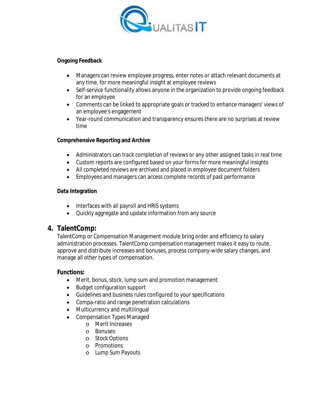

#### **Ongoing Feedback**

- Managers can review employee progress, enter notes or attach relevant documents at any time, for more meaningful insight at employee reviews
- Self-service functionality allows anyone in the organization to provide ongoing feedback for an employee
- Comments can be linked to appropriate goals or tracked to enhance managers' views of an employee's engagement
- Year-round communication and transparency ensures there are no surprises at review time

#### **Comprehensive Reporting and Archive**

- Administrators can track completion of reviews or any other assigned tasks in real time
- Custom reports are configured based on your forms for more meaningful insights
- All completed reviews are archived and placed in employee document folders
- Employees and managers can access complete records of past performance

#### **Data Integration**

- Interfaces with all payroll and HRIS systems
- Quickly aggregate and update information from any source

# **4. TalentComp:**

TalentComp or Compensation Management module bring order and efficiency to salary administration processes. TalentComp compensation management makes it easy to route, approve and distribute increases and bonuses, process company-wide salary changes, and manage all other types of compensation.

#### **Functions:**

- Merit, bonus, stock, lump sum and promotion management
- Budget configuration support
- Guidelines and business rules configured to your specifications
- Compa-ratio and range penetration calculations
- Multicurrency and multilingual
- Compensation Types Managed
	- o Merit Increases
	- o Bonuses
	- o Stock Options
	- o Promotions
	- o Lump Sum Payouts